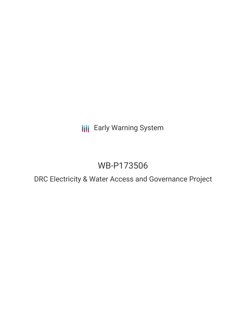**III** Early Warning System

# WB-P173506

DRC Electricity & Water Access and Governance Project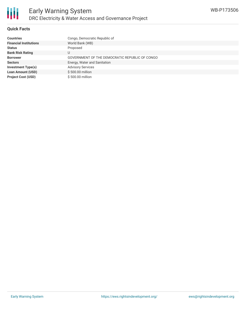

## **Quick Facts**

| <b>Countries</b>              | Congo, Democratic Republic of                  |
|-------------------------------|------------------------------------------------|
| <b>Financial Institutions</b> | World Bank (WB)                                |
| <b>Status</b>                 | Proposed                                       |
| <b>Bank Risk Rating</b>       | U                                              |
| <b>Borrower</b>               | GOVERNMENT OF THE DEMOCRATIC REPUBLIC OF CONGO |
| <b>Sectors</b>                | Energy, Water and Sanitation                   |
| <b>Investment Type(s)</b>     | <b>Advisory Services</b>                       |
| <b>Loan Amount (USD)</b>      | \$500.00 million                               |
| <b>Project Cost (USD)</b>     | \$500.00 million                               |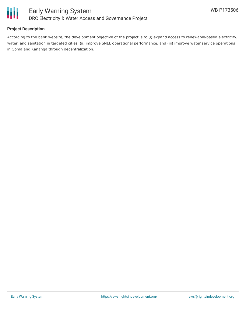

## **Project Description**

According to the bank website, the development objective of the project is to (i) expand access to renewable-based electricity, water, and sanitation in targeted cities, (ii) improve SNEL operational performance, and (iii) improve water service operations in Goma and Kananga through decentralization.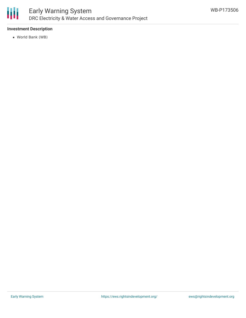

## **Investment Description**

World Bank (WB)